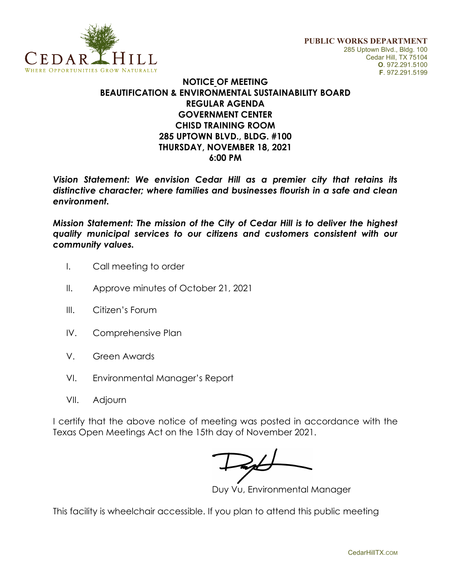

## **NOTICE OF MEETING BEAUTIFICATION & ENVIRONMENTAL SUSTAINABILITY BOARD REGULAR AGENDA GOVERNMENT CENTER CHISD TRAINING ROOM 285 UPTOWN BLVD., BLDG. #100 THURSDAY, NOVEMBER 18, 2021 6:00 PM**

*Vision Statement: We envision Cedar Hill as a premier city that retains its distinctive character; where families and businesses flourish in a safe and clean environment.*

*Mission Statement: The mission of the City of Cedar Hill is to deliver the highest quality municipal services to our citizens and customers consistent with our community values.*

- I. Call meeting to order
- II. Approve minutes of October 21, 2021
- III. Citizen's Forum
- IV. Comprehensive Plan
- V. Green Awards
- VI. Environmental Manager's Report
- VII. Adjourn

I certify that the above notice of meeting was posted in accordance with the Texas Open Meetings Act on the 15th day of November 2021.

Duy Vu, Environmental Manager

This facility is wheelchair accessible. If you plan to attend this public meeting